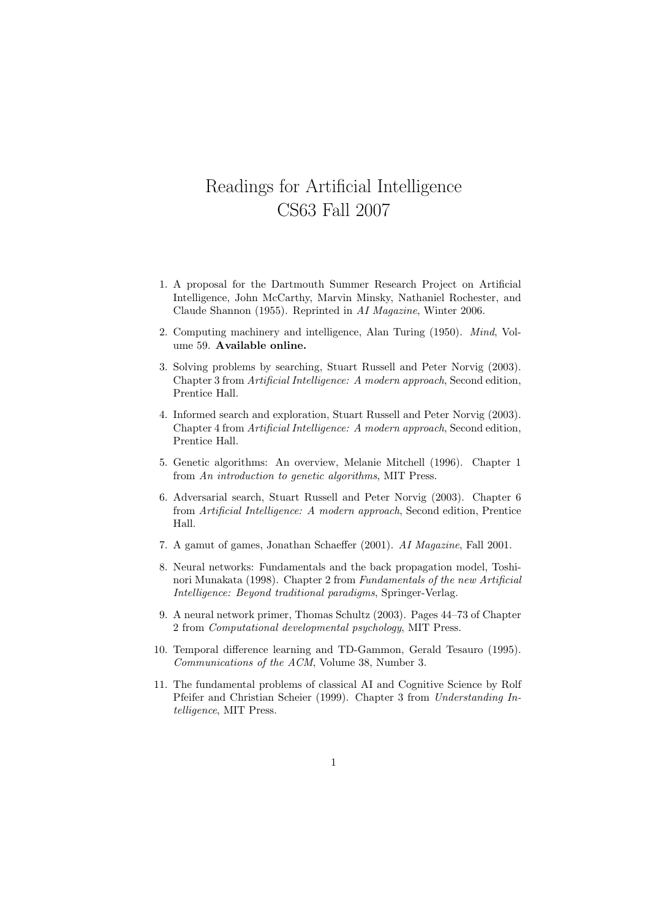## Readings for Artificial Intelligence CS63 Fall 2007

- 1. A proposal for the Dartmouth Summer Research Project on Artificial Intelligence, John McCarthy, Marvin Minsky, Nathaniel Rochester, and Claude Shannon (1955). Reprinted in AI Magazine, Winter 2006.
- 2. Computing machinery and intelligence, Alan Turing (1950). Mind, Volume 59. Available online.
- 3. Solving problems by searching, Stuart Russell and Peter Norvig (2003). Chapter 3 from Artificial Intelligence: A modern approach, Second edition, Prentice Hall.
- 4. Informed search and exploration, Stuart Russell and Peter Norvig (2003). Chapter 4 from Artificial Intelligence: A modern approach, Second edition, Prentice Hall.
- 5. Genetic algorithms: An overview, Melanie Mitchell (1996). Chapter 1 from An introduction to genetic algorithms, MIT Press.
- 6. Adversarial search, Stuart Russell and Peter Norvig (2003). Chapter 6 from Artificial Intelligence: A modern approach, Second edition, Prentice Hall.
- 7. A gamut of games, Jonathan Schaeffer (2001). AI Magazine, Fall 2001.
- 8. Neural networks: Fundamentals and the back propagation model, Toshinori Munakata (1998). Chapter 2 from Fundamentals of the new Artificial Intelligence: Beyond traditional paradigms, Springer-Verlag.
- 9. A neural network primer, Thomas Schultz (2003). Pages 44–73 of Chapter 2 from Computational developmental psychology, MIT Press.
- 10. Temporal difference learning and TD-Gammon, Gerald Tesauro (1995). Communications of the ACM, Volume 38, Number 3.
- 11. The fundamental problems of classical AI and Cognitive Science by Rolf Pfeifer and Christian Scheier (1999). Chapter 3 from Understanding Intelligence, MIT Press.